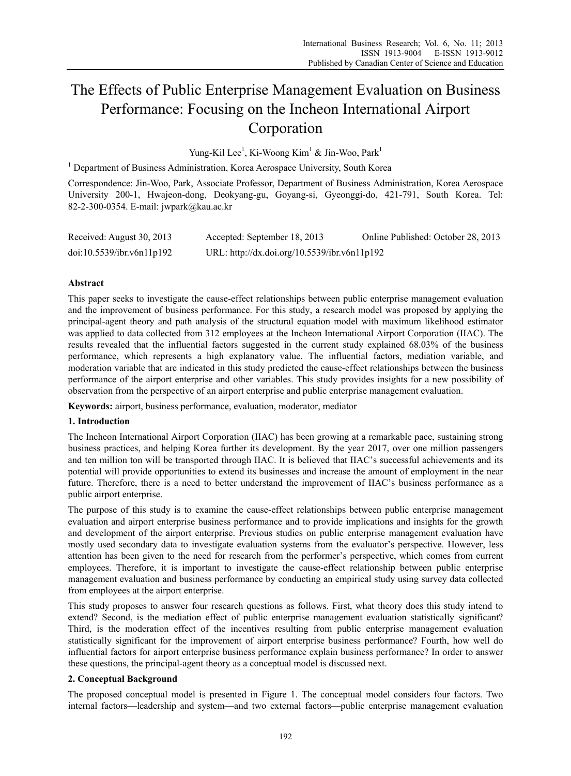# The Effects of Public Enterprise Management Evaluation on Business Performance: Focusing on the Incheon International Airport Corporation

Yung-Kil Lee<sup>1</sup>, Ki-Woong Kim<sup>1</sup> & Jin-Woo, Park<sup>1</sup>

<sup>1</sup> Department of Business Administration, Korea Aerospace University, South Korea

Correspondence: Jin-Woo, Park, Associate Professor, Department of Business Administration, Korea Aerospace University 200-1, Hwajeon-dong, Deokyang-gu, Goyang-si, Gyeonggi-do, 421-791, South Korea. Tel: 82-2-300-0354. E-mail: jwpark@kau.ac.kr

| Received: August 30, 2013 | Accepted: September 18, 2013                 | Online Published: October 28, 2013 |
|---------------------------|----------------------------------------------|------------------------------------|
| doi:10.5539/ibr.v6n11p192 | URL: http://dx.doi.org/10.5539/ibr.v6n11p192 |                                    |

# **Abstract**

This paper seeks to investigate the cause-effect relationships between public enterprise management evaluation and the improvement of business performance. For this study, a research model was proposed by applying the principal-agent theory and path analysis of the structural equation model with maximum likelihood estimator was applied to data collected from 312 employees at the Incheon International Airport Corporation (IIAC). The results revealed that the influential factors suggested in the current study explained 68.03% of the business performance, which represents a high explanatory value. The influential factors, mediation variable, and moderation variable that are indicated in this study predicted the cause-effect relationships between the business performance of the airport enterprise and other variables. This study provides insights for a new possibility of observation from the perspective of an airport enterprise and public enterprise management evaluation.

**Keywords:** airport, business performance, evaluation, moderator, mediator

## **1. Introduction**

The Incheon International Airport Corporation (IIAC) has been growing at a remarkable pace, sustaining strong business practices, and helping Korea further its development. By the year 2017, over one million passengers and ten million ton will be transported through IIAC. It is believed that IIAC's successful achievements and its potential will provide opportunities to extend its businesses and increase the amount of employment in the near future. Therefore, there is a need to better understand the improvement of IIAC's business performance as a public airport enterprise.

The purpose of this study is to examine the cause-effect relationships between public enterprise management evaluation and airport enterprise business performance and to provide implications and insights for the growth and development of the airport enterprise. Previous studies on public enterprise management evaluation have mostly used secondary data to investigate evaluation systems from the evaluator's perspective. However, less attention has been given to the need for research from the performer's perspective, which comes from current employees. Therefore, it is important to investigate the cause-effect relationship between public enterprise management evaluation and business performance by conducting an empirical study using survey data collected from employees at the airport enterprise.

This study proposes to answer four research questions as follows. First, what theory does this study intend to extend? Second, is the mediation effect of public enterprise management evaluation statistically significant? Third, is the moderation effect of the incentives resulting from public enterprise management evaluation statistically significant for the improvement of airport enterprise business performance? Fourth, how well do influential factors for airport enterprise business performance explain business performance? In order to answer these questions, the principal-agent theory as a conceptual model is discussed next.

# **2. Conceptual Background**

The proposed conceptual model is presented in Figure 1. The conceptual model considers four factors. Two internal factors—leadership and system—and two external factors—public enterprise management evaluation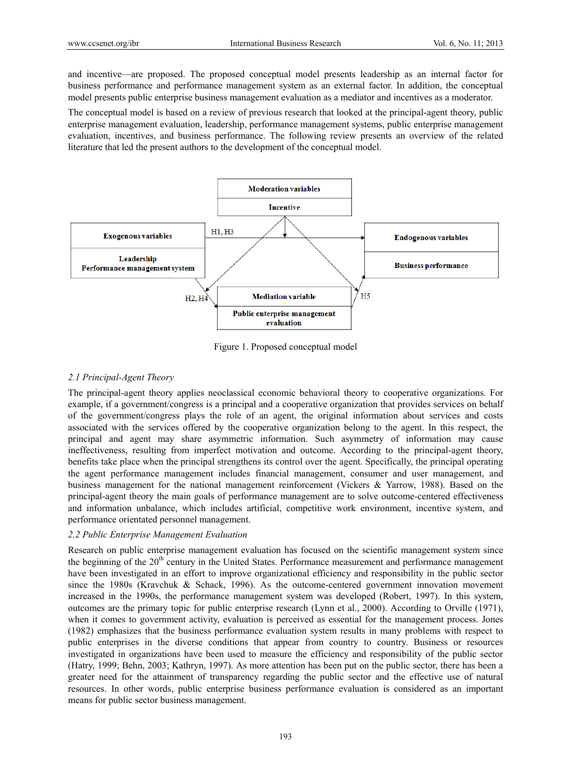and incentive—are proposed. The proposed conceptual model presents leadership as an internal factor for business performance and performance management system as an external factor. In addition, the conceptual model presents public enterprise business management evaluation as a mediator and incentives as a moderator.

The conceptual model is based on a review of previous research that looked at the principal-agent theory, public enterprise management evaluation, leadership, performance management systems, public enterprise management evaluation, incentives, and business performance. The following review presents an overview of the related literature that led the present authors to the development of the conceptual model.



Figure 1. Proposed conceptual model

# *2.1 Principal-Agent Theory*

The principal-agent theory applies neoclassical economic behavioral theory to cooperative organizations. For example, if a government/congress is a principal and a cooperative organization that provides services on behalf of the government/congress plays the role of an agent, the original information about services and costs associated with the services offered by the cooperative organization belong to the agent. In this respect, the principal and agent may share asymmetric information. Such asymmetry of information may cause ineffectiveness, resulting from imperfect motivation and outcome. According to the principal-agent theory, benefits take place when the principal strengthens its control over the agent. Specifically, the principal operating the agent performance management includes financial management, consumer and user management, and business management for the national management reinforcement (Vickers & Yarrow, 1988). Based on the principal-agent theory the main goals of performance management are to solve outcome-centered effectiveness and information unbalance, which includes artificial, competitive work environment, incentive system, and performance orientated personnel management.

# *2.2 Public Enterprise Management Evaluation*

Research on public enterprise management evaluation has focused on the scientific management system since the beginning of the 20<sup>th</sup> century in the United States. Performance measurement and performance management have been investigated in an effort to improve organizational efficiency and responsibility in the public sector since the 1980s (Kravchuk & Schack, 1996). As the outcome-centered government innovation movement increased in the 1990s, the performance management system was developed (Robert, 1997). In this system, outcomes are the primary topic for public enterprise research (Lynn et al., 2000). According to Orville (1971), when it comes to government activity, evaluation is perceived as essential for the management process. Jones (1982) emphasizes that the business performance evaluation system results in many problems with respect to public enterprises in the diverse conditions that appear from country to country. Business or resources investigated in organizations have been used to measure the efficiency and responsibility of the public sector (Hatry, 1999; Behn, 2003; Kathryn, 1997). As more attention has been put on the public sector, there has been a greater need for the attainment of transparency regarding the public sector and the effective use of natural resources. In other words, public enterprise business performance evaluation is considered as an important means for public sector business management.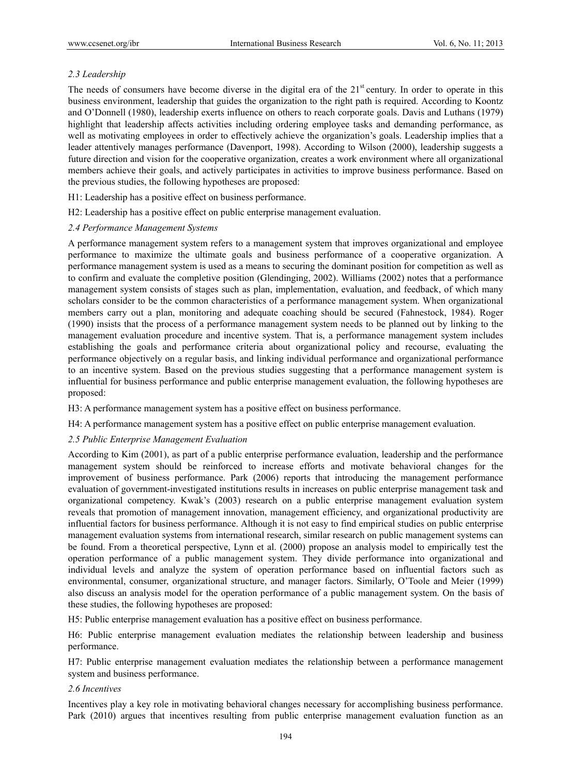# *2.3 Leadership*

The needs of consumers have become diverse in the digital era of the 21<sup>st</sup> century. In order to operate in this business environment, leadership that guides the organization to the right path is required. According to Koontz and O'Donnell (1980), leadership exerts influence on others to reach corporate goals. Davis and Luthans (1979) highlight that leadership affects activities including ordering employee tasks and demanding performance, as well as motivating employees in order to effectively achieve the organization's goals. Leadership implies that a leader attentively manages performance (Davenport, 1998). According to Wilson (2000), leadership suggests a future direction and vision for the cooperative organization, creates a work environment where all organizational members achieve their goals, and actively participates in activities to improve business performance. Based on the previous studies, the following hypotheses are proposed:

- H1: Leadership has a positive effect on business performance.
- H2: Leadership has a positive effect on public enterprise management evaluation.

# *2.4 Performance Management Systems*

A performance management system refers to a management system that improves organizational and employee performance to maximize the ultimate goals and business performance of a cooperative organization. A performance management system is used as a means to securing the dominant position for competition as well as to confirm and evaluate the completive position (Glendinging, 2002). Williams (2002) notes that a performance management system consists of stages such as plan, implementation, evaluation, and feedback, of which many scholars consider to be the common characteristics of a performance management system. When organizational members carry out a plan, monitoring and adequate coaching should be secured (Fahnestock, 1984). Roger (1990) insists that the process of a performance management system needs to be planned out by linking to the management evaluation procedure and incentive system. That is, a performance management system includes establishing the goals and performance criteria about organizational policy and recourse, evaluating the performance objectively on a regular basis, and linking individual performance and organizational performance to an incentive system. Based on the previous studies suggesting that a performance management system is influential for business performance and public enterprise management evaluation, the following hypotheses are proposed:

H3: A performance management system has a positive effect on business performance.

H4: A performance management system has a positive effect on public enterprise management evaluation.

# *2.5 Public Enterprise Management Evaluation*

According to Kim (2001), as part of a public enterprise performance evaluation, leadership and the performance management system should be reinforced to increase efforts and motivate behavioral changes for the improvement of business performance. Park (2006) reports that introducing the management performance evaluation of government-investigated institutions results in increases on public enterprise management task and organizational competency. Kwak's (2003) research on a public enterprise management evaluation system reveals that promotion of management innovation, management efficiency, and organizational productivity are influential factors for business performance. Although it is not easy to find empirical studies on public enterprise management evaluation systems from international research, similar research on public management systems can be found. From a theoretical perspective, Lynn et al. (2000) propose an analysis model to empirically test the operation performance of a public management system. They divide performance into organizational and individual levels and analyze the system of operation performance based on influential factors such as environmental, consumer, organizational structure, and manager factors. Similarly, O'Toole and Meier (1999) also discuss an analysis model for the operation performance of a public management system. On the basis of these studies, the following hypotheses are proposed:

H5: Public enterprise management evaluation has a positive effect on business performance.

H6: Public enterprise management evaluation mediates the relationship between leadership and business performance.

H7: Public enterprise management evaluation mediates the relationship between a performance management system and business performance.

## *2.6 Incentives*

Incentives play a key role in motivating behavioral changes necessary for accomplishing business performance. Park (2010) argues that incentives resulting from public enterprise management evaluation function as an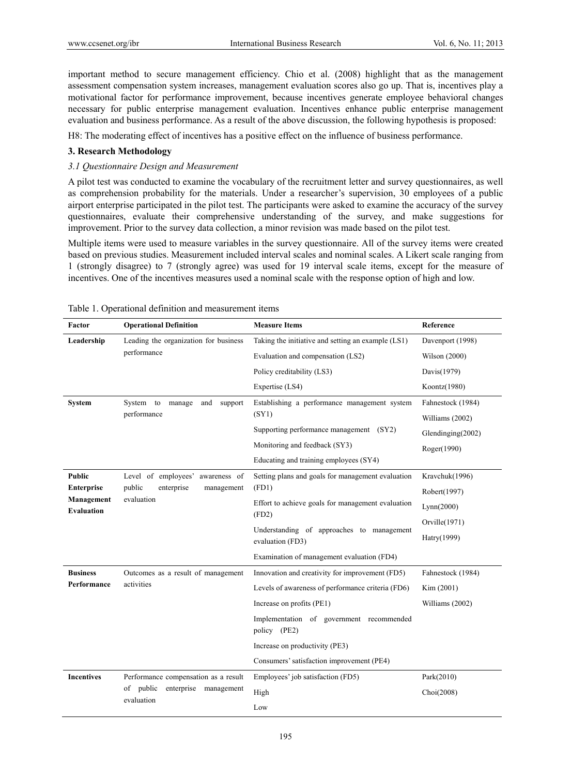important method to secure management efficiency. Chio et al. (2008) highlight that as the management assessment compensation system increases, management evaluation scores also go up. That is, incentives play a motivational factor for performance improvement, because incentives generate employee behavioral changes necessary for public enterprise management evaluation. Incentives enhance public enterprise management evaluation and business performance. As a result of the above discussion, the following hypothesis is proposed:

H8: The moderating effect of incentives has a positive effect on the influence of business performance.

# **3. Research Methodology**

## *3.1 Questionnaire Design and Measurement*

A pilot test was conducted to examine the vocabulary of the recruitment letter and survey questionnaires, as well as comprehension probability for the materials. Under a researcher's supervision, 30 employees of a public airport enterprise participated in the pilot test. The participants were asked to examine the accuracy of the survey questionnaires, evaluate their comprehensive understanding of the survey, and make suggestions for improvement. Prior to the survey data collection, a minor revision was made based on the pilot test.

Multiple items were used to measure variables in the survey questionnaire. All of the survey items were created based on previous studies. Measurement included interval scales and nominal scales. A Likert scale ranging from 1 (strongly disagree) to 7 (strongly agree) was used for 19 interval scale items, except for the measure of incentives. One of the incentives measures used a nominal scale with the response option of high and low.

| Factor                          | <b>Operational Definition</b>            | <b>Measure Items</b>                                       | Reference            |
|---------------------------------|------------------------------------------|------------------------------------------------------------|----------------------|
| Leadership                      | Leading the organization for business    | Taking the initiative and setting an example (LS1)         | Davenport (1998)     |
|                                 | performance                              | Evaluation and compensation (LS2)                          | Wilson (2000)        |
|                                 |                                          | Policy creditability (LS3)                                 | Davis(1979)          |
|                                 |                                          | Expertise (LS4)                                            | Koontz(1980)         |
| System                          | System<br>to<br>manage<br>and<br>support | Establishing a performance management system               | Fahnestock (1984)    |
|                                 | performance                              | (SY1)                                                      | Williams (2002)      |
|                                 |                                          | Supporting performance management (SY2)                    | Glendinging $(2002)$ |
|                                 |                                          | Monitoring and feedback (SY3)                              | Roger(1990)          |
|                                 |                                          | Educating and training employees (SY4)                     |                      |
| <b>Public</b>                   | Level of employees'<br>awareness of      | Setting plans and goals for management evaluation          | Kravchuk(1996)       |
| <b>Enterprise</b>               | public<br>enterprise<br>management       | (FD1)                                                      | Robert(1997)         |
| Management<br><b>Evaluation</b> | evaluation                               | Effort to achieve goals for management evaluation<br>(FD2) | Lymn(2000)           |
|                                 |                                          | Understanding of approaches to management                  | Orville(1971)        |
|                                 |                                          | evaluation (FD3)                                           | Hatry(1999)          |
|                                 |                                          | Examination of management evaluation (FD4)                 |                      |
| <b>Business</b>                 | Outcomes as a result of management       | Innovation and creativity for improvement (FD5)            | Fahnestock (1984)    |
| Performance                     | activities                               | Levels of awareness of performance criteria (FD6)          | Kim (2001)           |
|                                 |                                          | Increase on profits (PE1)                                  | Williams (2002)      |
|                                 |                                          | Implementation of government recommended<br>policy (PE2)   |                      |
|                                 |                                          | Increase on productivity (PE3)                             |                      |
|                                 |                                          | Consumers' satisfaction improvement (PE4)                  |                      |
| <b>Incentives</b>               | Performance compensation as a result     | Employees' job satisfaction (FD5)                          | Park $(2010)$        |
|                                 | public<br>of<br>enterprise<br>management | High                                                       | Choi(2008)           |
|                                 | evaluation                               | Low                                                        |                      |

Table 1. Operational definition and measurement items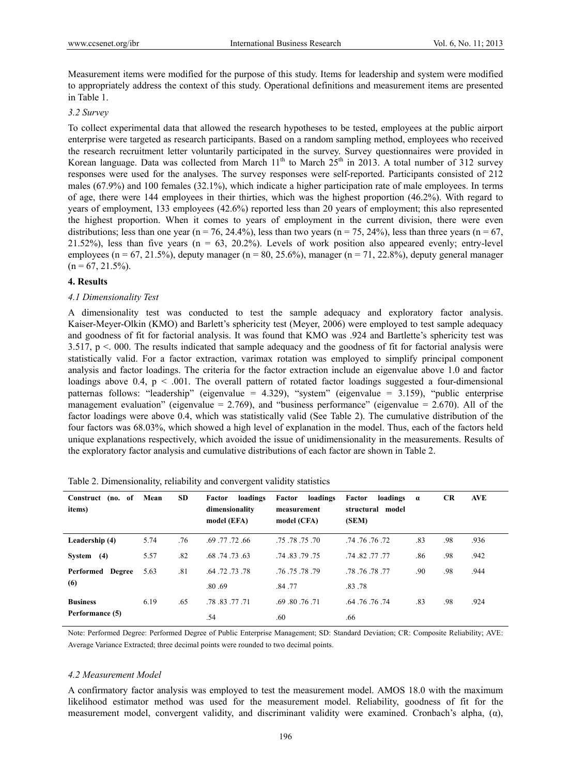Measurement items were modified for the purpose of this study. Items for leadership and system were modified to appropriately address the context of this study. Operational definitions and measurement items are presented in Table 1.

## *3.2 Survey*

To collect experimental data that allowed the research hypotheses to be tested, employees at the public airport enterprise were targeted as research participants. Based on a random sampling method, employees who received the research recruitment letter voluntarily participated in the survey. Survey questionnaires were provided in Korean language. Data was collected from March  $11<sup>th</sup>$  to March  $25<sup>th</sup>$  in 2013. A total number of 312 survey responses were used for the analyses. The survey responses were self-reported. Participants consisted of 212 males (67.9%) and 100 females (32.1%), which indicate a higher participation rate of male employees. In terms of age, there were 144 employees in their thirties, which was the highest proportion (46.2%). With regard to years of employment, 133 employees (42.6%) reported less than 20 years of employment; this also represented the highest proportion. When it comes to years of employment in the current division, there were even distributions; less than one year (n = 76, 24.4%), less than two years (n = 75, 24%), less than three years (n = 67, 21.52%), less than five years ( $n = 63$ , 20.2%). Levels of work position also appeared evenly; entry-level employees (n = 67, 21.5%), deputy manager (n = 80, 25.6%), manager (n = 71, 22.8%), deputy general manager  $(n = 67, 21.5\%)$ .

#### **4. Results**

#### *4.1 Dimensionality Test*

A dimensionality test was conducted to test the sample adequacy and exploratory factor analysis. Kaiser-Meyer-Olkin (KMO) and Barlett's sphericity test (Meyer, 2006) were employed to test sample adequacy and goodness of fit for factorial analysis. It was found that KMO was .924 and Bartlette's sphericity test was 3.517, p <. 000. The results indicated that sample adequacy and the goodness of fit for factorial analysis were statistically valid. For a factor extraction, varimax rotation was employed to simplify principal component analysis and factor loadings. The criteria for the factor extraction include an eigenvalue above 1.0 and factor loadings above 0.4,  $p < .001$ . The overall pattern of rotated factor loadings suggested a four-dimensional patternas follows: "leadership" (eigenvalue = 4.329), "system" (eigenvalue = 3.159), "public enterprise management evaluation" (eigenvalue =  $2.769$ ), and "business performance" (eigenvalue =  $2.670$ ). All of the factor loadings were above 0.4, which was statistically valid (See Table 2). The cumulative distribution of the four factors was 68.03%, which showed a high level of explanation in the model. Thus, each of the factors held unique explanations respectively, which avoided the issue of unidimensionality in the measurements. Results of the exploratory factor analysis and cumulative distributions of each factor are shown in Table 2.

| Construct (no. of<br>items) | Mean | <b>SD</b> | loadings<br>Factor<br>dimensionality<br>model (EFA) | loadings<br>Factor<br>measurement<br>model (CFA) | loadings<br>Factor<br>structural model<br>(SEM) | $\alpha$ | <b>CR</b> | <b>AVE</b> |
|-----------------------------|------|-----------|-----------------------------------------------------|--------------------------------------------------|-------------------------------------------------|----------|-----------|------------|
| Leadership (4)              | 5.74 | .76       | .69 77 72 66                                        | .75 .78 .75 .70                                  | .74 .76 .76 .72                                 | .83      | .98       | .936       |
| System (4)                  | 5.57 | .82       | .68 .74 .73 .63                                     | .74.83.79.75                                     | 74 82 77 77                                     | .86      | .98       | .942       |
| Performed Degree            | 5.63 | .81       | .64 .72 .73 .78                                     | .76 .75 .78 .79                                  | .78.76.78.77                                    | .90      | .98       | .944       |
| (6)                         |      |           | .80.69                                              | .84.77                                           | .83.78                                          |          |           |            |
| <b>Business</b>             | 6.19 | .65       | 78 83 77 71                                         | .69 80 76 71                                     | .64 .76 .76 .74                                 | .83      | .98       | .924       |
| Performance (5)             |      |           | .54                                                 | .60                                              | .66                                             |          |           |            |

Table 2. Dimensionality, reliability and convergent validity statistics

Note: Performed Degree: Performed Degree of Public Enterprise Management; SD: Standard Deviation; CR: Composite Reliability; AVE: Average Variance Extracted; three decimal points were rounded to two decimal points.

#### *4.2 Measurement Model*

A confirmatory factor analysis was employed to test the measurement model. AMOS 18.0 with the maximum likelihood estimator method was used for the measurement model. Reliability, goodness of fit for the measurement model, convergent validity, and discriminant validity were examined. Cronbach's alpha, (α),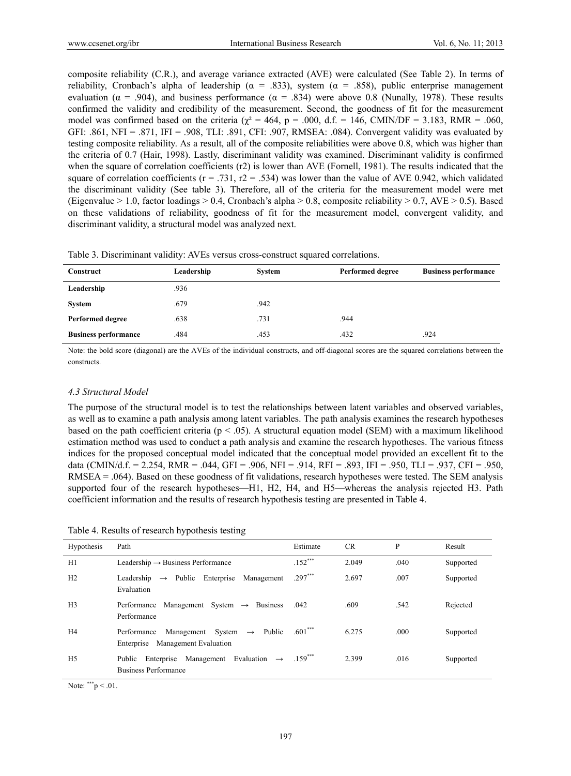composite reliability (C.R.), and average variance extracted (AVE) were calculated (See Table 2). In terms of reliability, Cronbach's alpha of leadership ( $\alpha = .833$ ), system ( $\alpha = .858$ ), public enterprise management evaluation ( $\alpha$  = .904), and business performance ( $\alpha$  = .834) were above 0.8 (Nunally, 1978). These results confirmed the validity and credibility of the measurement. Second, the goodness of fit for the measurement model was confirmed based on the criteria ( $\chi^2 = 464$ , p = .000, d.f. = 146, CMIN/DF = 3.183, RMR = .060, GFI: .861, NFI = .871, IFI = .908, TLI: .891, CFI: .907, RMSEA: .084). Convergent validity was evaluated by testing composite reliability. As a result, all of the composite reliabilities were above 0.8, which was higher than the criteria of 0.7 (Hair, 1998). Lastly, discriminant validity was examined. Discriminant validity is confirmed when the square of correlation coefficients (r2) is lower than AVE (Fornell, 1981). The results indicated that the square of correlation coefficients ( $r = .731$ ,  $r = .534$ ) was lower than the value of AVE 0.942, which validated the discriminant validity (See table 3). Therefore, all of the criteria for the measurement model were met (Eigenvalue  $> 1.0$ , factor loadings  $> 0.4$ , Cronbach's alpha  $> 0.8$ , composite reliability  $> 0.7$ , AVE  $> 0.5$ ). Based on these validations of reliability, goodness of fit for the measurement model, convergent validity, and discriminant validity, a structural model was analyzed next.

| Table 3. Discriminant validity: AVEs versus cross-construct squared correlations. |  |
|-----------------------------------------------------------------------------------|--|
|-----------------------------------------------------------------------------------|--|

| Construct                   | Leadership | System | Performed degree | <b>Business performance</b> |
|-----------------------------|------------|--------|------------------|-----------------------------|
| Leadership                  | .936       |        |                  |                             |
| System                      | .679       | .942   |                  |                             |
| Performed degree            | .638       | .731   | .944             |                             |
| <b>Business performance</b> | .484       | .453   | .432             | .924                        |

Note: the bold score (diagonal) are the AVEs of the individual constructs, and off-diagonal scores are the squared correlations between the constructs.

## *4.3 Structural Model*

The purpose of the structural model is to test the relationships between latent variables and observed variables, as well as to examine a path analysis among latent variables. The path analysis examines the research hypotheses based on the path coefficient criteria ( $p < .05$ ). A structural equation model (SEM) with a maximum likelihood estimation method was used to conduct a path analysis and examine the research hypotheses. The various fitness indices for the proposed conceptual model indicated that the conceptual model provided an excellent fit to the data (CMIN/d.f. = 2.254, RMR = .044, GFI = .906, NFI = .914, RFI = .893, IFI = .950, TLI = .937, CFI = .950, RMSEA = .064). Based on these goodness of fit validations, research hypotheses were tested. The SEM analysis supported four of the research hypotheses—H1, H2, H4, and H5—whereas the analysis rejected H3. Path coefficient information and the results of research hypothesis testing are presented in Table 4.

|  | Table 4. Results of research hypothesis testing |  |
|--|-------------------------------------------------|--|
|  |                                                 |  |

| <b>Hypothesis</b> | Path                                                                                               | Estimate  | <b>CR</b> | P    | Result    |
|-------------------|----------------------------------------------------------------------------------------------------|-----------|-----------|------|-----------|
| H1                | Leadership $\rightarrow$ Business Performance                                                      | $.152***$ | 2.049     | .040 | Supported |
| H <sub>2</sub>    | Public Enterprise<br>Management<br>Leadership<br>$\rightarrow$<br>Evaluation                       | $297***$  | 2.697     | .007 | Supported |
| H <sub>3</sub>    | Management System $\rightarrow$ Business<br>Performance<br>Performance                             | .042      | .609      | .542 | Rejected  |
| H <sub>4</sub>    | Management System<br>Public<br>Performance<br>$\rightarrow$<br>Management Evaluation<br>Enterprise | $.601***$ | 6.275     | .000 | Supported |
| H <sub>5</sub>    | Management Evaluation<br>Enterprise<br>Public<br>$\longrightarrow$<br><b>Business Performance</b>  | $.159***$ | 2.399     | .016 | Supported |

Note:  $***p < .01$ .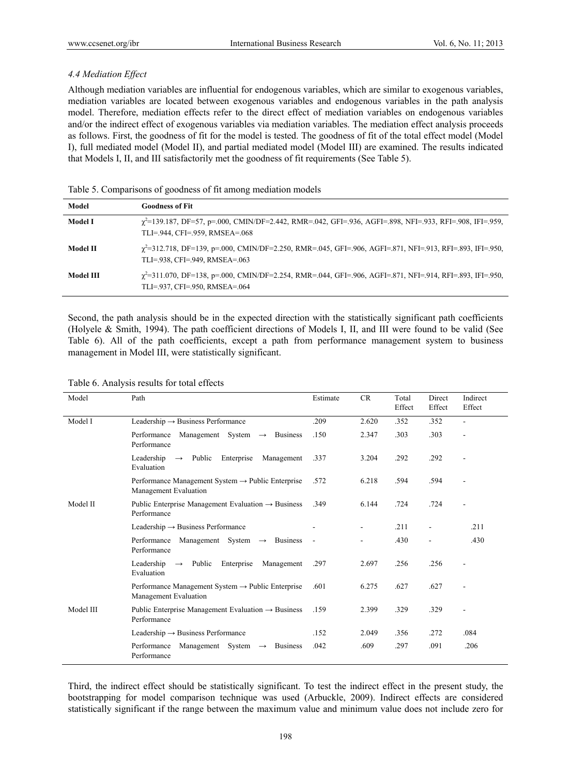# *4.4 Mediation Effect*

Although mediation variables are influential for endogenous variables, which are similar to exogenous variables, mediation variables are located between exogenous variables and endogenous variables in the path analysis model. Therefore, mediation effects refer to the direct effect of mediation variables on endogenous variables and/or the indirect effect of exogenous variables via mediation variables. The mediation effect analysis proceeds as follows. First, the goodness of fit for the model is tested. The goodness of fit of the total effect model (Model I), full mediated model (Model II), and partial mediated model (Model III) are examined. The results indicated that Models I, II, and III satisfactorily met the goodness of fit requirements (See Table 5).

## Table 5. Comparisons of goodness of fit among mediation models

| Model     | <b>Goodness of Fit</b>                                                                                                                             |
|-----------|----------------------------------------------------------------------------------------------------------------------------------------------------|
| Model I   | $\chi^2$ =139.187, DF=57, p=.000, CMIN/DF=2.442, RMR=.042, GFI=.936, AGFI=.898, NFI=.933, RFI=.908, IFI=.959,<br>TLI=.944, CFI=.959, RMSEA=.068    |
| Model II  | $\gamma^2$ =312.718, DF=139, p=.000, CMIN/DF=2.250, RMR=.045, GFI=.906, AGFI=.871, NFI=.913, RFI=.893, IFI=.950,<br>TLI=.938, CFI=.949, RMSEA=.063 |
| Model III | $\gamma^2$ =311.070, DF=138, p=.000, CMIN/DF=2.254, RMR=.044, GFI=.906, AGFI=.871, NFI=.914, RFI=.893, IFI=.950,<br>TLI=.937, CFI=.950, RMSEA=.064 |

Second, the path analysis should be in the expected direction with the statistically significant path coefficients (Holyele & Smith, 1994). The path coefficient directions of Models I, II, and III were found to be valid (See Table 6). All of the path coefficients, except a path from performance management system to business management in Model III, were statistically significant.

| Model     | Path                                                                                    | Estimate | CR                       | Total<br>Effect | Direct<br>Effect | Indirect<br>Effect |
|-----------|-----------------------------------------------------------------------------------------|----------|--------------------------|-----------------|------------------|--------------------|
| Model I   | Leadership $\rightarrow$ Business Performance                                           | .209     | 2.620                    | .352            | .352             | $\blacksquare$     |
|           | Management System<br><b>Business</b><br>Performance<br>$\rightarrow$<br>Performance     | .150     | 2.347                    | .303            | .303             | ÷                  |
|           | Public<br>Enterprise<br>Leadership<br>Management<br>$\longrightarrow$<br>Evaluation     | .337     | 3.204                    | .292            | .292             |                    |
|           | Performance Management System $\rightarrow$ Public Enterprise<br>Management Evaluation  | .572     | 6.218                    | .594            | .594             |                    |
| Model II  | Public Enterprise Management Evaluation $\rightarrow$ Business<br>Performance           | .349     | 6.144                    | .724            | .724             |                    |
|           | Leadership $\rightarrow$ Business Performance                                           |          | $\overline{\phantom{a}}$ | .211            |                  | .211               |
|           | Management System $\rightarrow$ Business<br>Performance<br>Performance                  |          |                          | .430            |                  | .430               |
|           | Leadership<br>Public<br>Enterprise<br>Management<br>$\longrightarrow$<br>Evaluation     | .297     | 2.697                    | .256            | .256             |                    |
|           | Performance Management System $\rightarrow$ Public Enterprise<br>Management Evaluation  | .601     | 6.275                    | .627            | .627             |                    |
| Model III | Public Enterprise Management Evaluation $\rightarrow$ Business<br>Performance           | .159     | 2.399                    | .329            | .329             |                    |
|           | Leadership $\rightarrow$ Business Performance                                           | .152     | 2.049                    | .356            | .272             | .084               |
|           | Performance<br>Management System<br><b>Business</b><br>$\longrightarrow$<br>Performance | .042     | .609                     | .297            | .091             | .206               |

Table 6. Analysis results for total effects

Third, the indirect effect should be statistically significant. To test the indirect effect in the present study, the bootstrapping for model comparison technique was used (Arbuckle, 2009). Indirect effects are considered statistically significant if the range between the maximum value and minimum value does not include zero for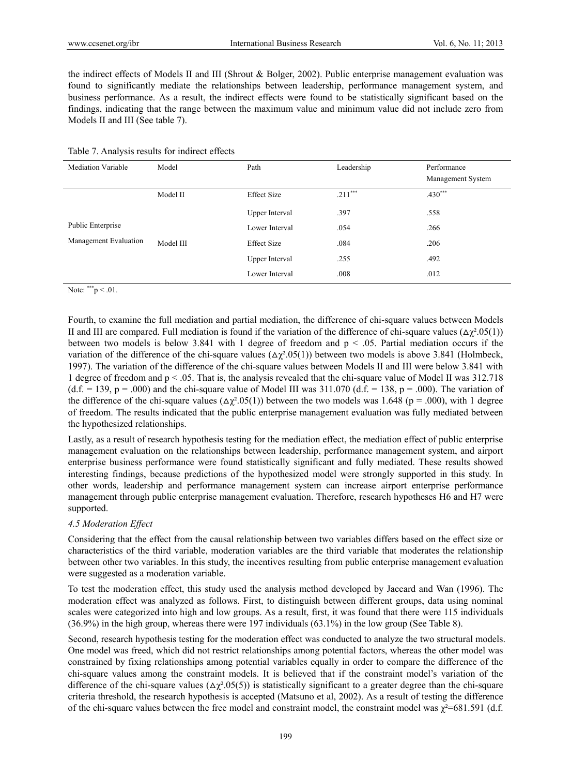the indirect effects of Models II and III (Shrout & Bolger, 2002). Public enterprise management evaluation was found to significantly mediate the relationships between leadership, performance management system, and business performance. As a result, the indirect effects were found to be statistically significant based on the findings, indicating that the range between the maximum value and minimum value did not include zero from Models II and III (See table 7).

| <b>Mediation Variable</b> | Model     | Path                  | Leadership | Performance<br>Management System |
|---------------------------|-----------|-----------------------|------------|----------------------------------|
|                           | Model II  | <b>Effect Size</b>    | $.211***$  | $.430***$                        |
|                           |           | <b>Upper Interval</b> | .397       | .558                             |
| Public Enterprise         |           | Lower Interval        | .054       | .266                             |
| Management Evaluation     | Model III | <b>Effect Size</b>    | .084       | .206                             |
|                           |           | <b>Upper Interval</b> | .255       | .492                             |
|                           |           | Lower Interval        | .008       | .012                             |

Note:  $**p < .01$ .

Fourth, to examine the full mediation and partial mediation, the difference of chi-square values between Models II and III are compared. Full mediation is found if the variation of the difference of chi-square values ( $\Delta \chi^2.05(1)$ ) between two models is below 3.841 with 1 degree of freedom and  $p < .05$ . Partial mediation occurs if the variation of the difference of the chi-square values  $(\Delta \chi^2.05(1))$  between two models is above 3.841 (Holmbeck, 1997). The variation of the difference of the chi-square values between Models II and III were below 3.841 with 1 degree of freedom and  $p < 0.05$ . That is, the analysis revealed that the chi-square value of Model II was 312.718  $(d.f. = 139, p = .000)$  and the chi-square value of Model III was 311.070  $(d.f. = 138, p = .000)$ . The variation of the difference of the chi-square values ( $\Delta \chi^2.05(1)$ ) between the two models was 1.648 (p = .000), with 1 degree of freedom. The results indicated that the public enterprise management evaluation was fully mediated between the hypothesized relationships.

Lastly, as a result of research hypothesis testing for the mediation effect, the mediation effect of public enterprise management evaluation on the relationships between leadership, performance management system, and airport enterprise business performance were found statistically significant and fully mediated. These results showed interesting findings, because predictions of the hypothesized model were strongly supported in this study. In other words, leadership and performance management system can increase airport enterprise performance management through public enterprise management evaluation. Therefore, research hypotheses H6 and H7 were supported.

## *4.5 Moderation Effect*

Considering that the effect from the causal relationship between two variables differs based on the effect size or characteristics of the third variable, moderation variables are the third variable that moderates the relationship between other two variables. In this study, the incentives resulting from public enterprise management evaluation were suggested as a moderation variable.

To test the moderation effect, this study used the analysis method developed by Jaccard and Wan (1996). The moderation effect was analyzed as follows. First, to distinguish between different groups, data using nominal scales were categorized into high and low groups. As a result, first, it was found that there were 115 individuals (36.9%) in the high group, whereas there were 197 individuals (63.1%) in the low group (See Table 8).

Second, research hypothesis testing for the moderation effect was conducted to analyze the two structural models. One model was freed, which did not restrict relationships among potential factors, whereas the other model was constrained by fixing relationships among potential variables equally in order to compare the difference of the chi-square values among the constraint models. It is believed that if the constraint model's variation of the difference of the chi-square values ( $\Delta \chi^2.05(5)$ ) is statistically significant to a greater degree than the chi-square criteria threshold, the research hypothesis is accepted (Matsuno et al, 2002). As a result of testing the difference of the chi-square values between the free model and constraint model, the constraint model was  $\chi^2$ =681.591 (d.f.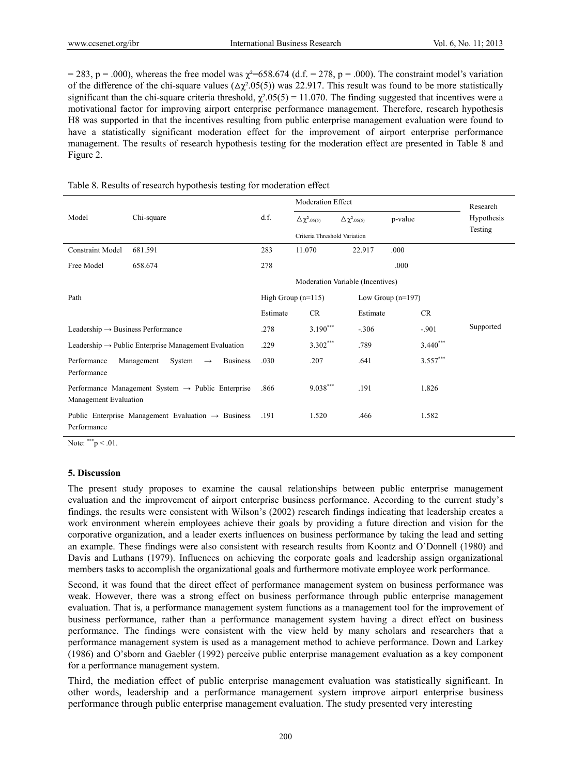= 283, p = .000), whereas the free model was  $\chi^2$ =658.674 (d.f. = 278, p = .000). The constraint model's variation of the difference of the chi-square values ( $\Delta \chi^2$ .05(5)) was 22.917. This result was found to be more statistically significant than the chi-square criteria threshold,  $\chi^2.05(5) = 11.070$ . The finding suggested that incentives were a motivational factor for improving airport enterprise performance management. Therefore, research hypothesis H8 was supported in that the incentives resulting from public enterprise management evaluation were found to have a statistically significant moderation effect for the improvement of airport enterprise performance management. The results of research hypothesis testing for the moderation effect are presented in Table 8 and Figure 2.

|                                               |                                                                  |                      | <b>Moderation Effect</b>     | Research                         |                     |            |
|-----------------------------------------------|------------------------------------------------------------------|----------------------|------------------------------|----------------------------------|---------------------|------------|
| Model                                         | Chi-square                                                       | d.f.                 | $\Delta \chi^2_{.05(5)}$     | $\Delta \chi^2_{.05(5)}$         | p-value             | Hypothesis |
|                                               |                                                                  |                      | Criteria Threshold Variation |                                  |                     | Testing    |
| <b>Constraint Model</b>                       | 681.591                                                          | 283                  | 11.070                       | 22.917                           | .000                |            |
| Free Model                                    | 658.674                                                          | 278                  |                              |                                  | .000                |            |
|                                               |                                                                  |                      |                              | Moderation Variable (Incentives) |                     |            |
| Path                                          |                                                                  | High Group $(n=115)$ |                              |                                  | Low Group $(n=197)$ |            |
|                                               |                                                                  | Estimate             | <b>CR</b>                    | Estimate                         | <b>CR</b>           |            |
| Leadership $\rightarrow$ Business Performance |                                                                  | .278                 | $3.190***$                   | $-.306$                          | $-901$              | Supported  |
|                                               | Leadership $\rightarrow$ Public Enterprise Management Evaluation | .229                 | $3.302***$                   | .789                             | $3.440***$          |            |
| Performance                                   | Management<br>System<br><b>Business</b><br>$\longrightarrow$     | .030                 | .207                         | .641                             | $3.557***$          |            |
| Performance                                   |                                                                  |                      |                              |                                  |                     |            |
|                                               | Performance Management System $\rightarrow$ Public Enterprise    | .866                 | $9.038***$                   | .191                             | 1.826               |            |
| Management Evaluation                         |                                                                  |                      |                              |                                  |                     |            |
| Performance                                   | Public Enterprise Management Evaluation $\rightarrow$ Business   | .191                 | 1.520                        | .466                             | 1.582               |            |

Table 8. Results of research hypothesis testing for moderation effect

Note:  $*_{p} < .01$ .

## **5. Discussion**

The present study proposes to examine the causal relationships between public enterprise management evaluation and the improvement of airport enterprise business performance. According to the current study's findings, the results were consistent with Wilson's (2002) research findings indicating that leadership creates a work environment wherein employees achieve their goals by providing a future direction and vision for the corporative organization, and a leader exerts influences on business performance by taking the lead and setting an example. These findings were also consistent with research results from Koontz and O'Donnell (1980) and Davis and Luthans (1979). Influences on achieving the corporate goals and leadership assign organizational members tasks to accomplish the organizational goals and furthermore motivate employee work performance.

Second, it was found that the direct effect of performance management system on business performance was weak. However, there was a strong effect on business performance through public enterprise management evaluation. That is, a performance management system functions as a management tool for the improvement of business performance, rather than a performance management system having a direct effect on business performance. The findings were consistent with the view held by many scholars and researchers that a performance management system is used as a management method to achieve performance. Down and Larkey (1986) and O'sborn and Gaebler (1992) perceive public enterprise management evaluation as a key component for a performance management system.

Third, the mediation effect of public enterprise management evaluation was statistically significant. In other words, leadership and a performance management system improve airport enterprise business performance through public enterprise management evaluation. The study presented very interesting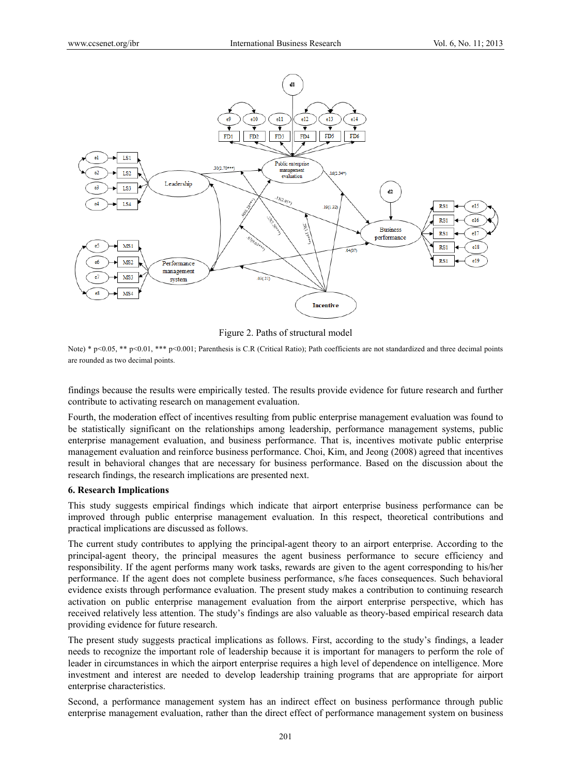

Figure 2. Paths of structural model

Note) \* p<0.05, \*\* p<0.01, \*\*\* p<0.001; Parenthesis is C.R (Critical Ratio); Path coefficients are not standardized and three decimal points are rounded as two decimal points.

findings because the results were empirically tested. The results provide evidence for future research and further contribute to activating research on management evaluation.

Fourth, the moderation effect of incentives resulting from public enterprise management evaluation was found to be statistically significant on the relationships among leadership, performance management systems, public enterprise management evaluation, and business performance. That is, incentives motivate public enterprise management evaluation and reinforce business performance. Choi, Kim, and Jeong (2008) agreed that incentives result in behavioral changes that are necessary for business performance. Based on the discussion about the research findings, the research implications are presented next.

#### **6. Research Implications**

This study suggests empirical findings which indicate that airport enterprise business performance can be improved through public enterprise management evaluation. In this respect, theoretical contributions and practical implications are discussed as follows.

The current study contributes to applying the principal-agent theory to an airport enterprise. According to the principal-agent theory, the principal measures the agent business performance to secure efficiency and responsibility. If the agent performs many work tasks, rewards are given to the agent corresponding to his/her performance. If the agent does not complete business performance, s/he faces consequences. Such behavioral evidence exists through performance evaluation. The present study makes a contribution to continuing research activation on public enterprise management evaluation from the airport enterprise perspective, which has received relatively less attention. The study's findings are also valuable as theory-based empirical research data providing evidence for future research.

The present study suggests practical implications as follows. First, according to the study's findings, a leader needs to recognize the important role of leadership because it is important for managers to perform the role of leader in circumstances in which the airport enterprise requires a high level of dependence on intelligence. More investment and interest are needed to develop leadership training programs that are appropriate for airport enterprise characteristics.

Second, a performance management system has an indirect effect on business performance through public enterprise management evaluation, rather than the direct effect of performance management system on business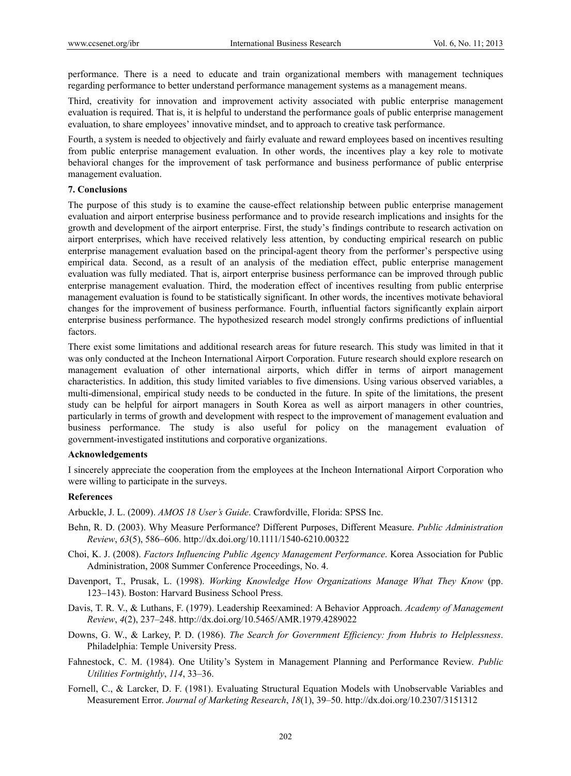performance. There is a need to educate and train organizational members with management techniques regarding performance to better understand performance management systems as a management means.

Third, creativity for innovation and improvement activity associated with public enterprise management evaluation is required. That is, it is helpful to understand the performance goals of public enterprise management evaluation, to share employees' innovative mindset, and to approach to creative task performance.

Fourth, a system is needed to objectively and fairly evaluate and reward employees based on incentives resulting from public enterprise management evaluation. In other words, the incentives play a key role to motivate behavioral changes for the improvement of task performance and business performance of public enterprise management evaluation.

# **7. Conclusions**

The purpose of this study is to examine the cause-effect relationship between public enterprise management evaluation and airport enterprise business performance and to provide research implications and insights for the growth and development of the airport enterprise. First, the study's findings contribute to research activation on airport enterprises, which have received relatively less attention, by conducting empirical research on public enterprise management evaluation based on the principal-agent theory from the performer's perspective using empirical data. Second, as a result of an analysis of the mediation effect, public enterprise management evaluation was fully mediated. That is, airport enterprise business performance can be improved through public enterprise management evaluation. Third, the moderation effect of incentives resulting from public enterprise management evaluation is found to be statistically significant. In other words, the incentives motivate behavioral changes for the improvement of business performance. Fourth, influential factors significantly explain airport enterprise business performance. The hypothesized research model strongly confirms predictions of influential factors.

There exist some limitations and additional research areas for future research. This study was limited in that it was only conducted at the Incheon International Airport Corporation. Future research should explore research on management evaluation of other international airports, which differ in terms of airport management characteristics. In addition, this study limited variables to five dimensions. Using various observed variables, a multi-dimensional, empirical study needs to be conducted in the future. In spite of the limitations, the present study can be helpful for airport managers in South Korea as well as airport managers in other countries, particularly in terms of growth and development with respect to the improvement of management evaluation and business performance. The study is also useful for policy on the management evaluation of government-investigated institutions and corporative organizations.

#### **Acknowledgements**

I sincerely appreciate the cooperation from the employees at the Incheon International Airport Corporation who were willing to participate in the surveys.

#### **References**

Arbuckle, J. L. (2009). *AMOS 18 User's Guide*. Crawfordville, Florida: SPSS Inc.

- Behn, R. D. (2003). Why Measure Performance? Different Purposes, Different Measure. *Public Administration Review*, *63*(5), 586–606. http://dx.doi.org/10.1111/1540-6210.00322
- Choi, K. J. (2008). *Factors Influencing Public Agency Management Performance*. Korea Association for Public Administration, 2008 Summer Conference Proceedings, No. 4.
- Davenport, T., Prusak, L. (1998). *Working Knowledge How Organizations Manage What They Know* (pp. 123–143). Boston: Harvard Business School Press.
- Davis, T. R. V., & Luthans, F. (1979). Leadership Reexamined: A Behavior Approach. *Academy of Management Review*, *4*(2), 237–248. http://dx.doi.org/10.5465/AMR.1979.4289022
- Downs, G. W., & Larkey, P. D. (1986). *The Search for Government Efficiency: from Hubris to Helplessness*. Philadelphia: Temple University Press.
- Fahnestock, C. M. (1984). One Utility's System in Management Planning and Performance Review. *Public Utilities Fortnightly*, *114*, 33–36.
- Fornell, C., & Larcker, D. F. (1981). Evaluating Structural Equation Models with Unobservable Variables and Measurement Error. *Journal of Marketing Research*, *18*(1), 39–50. http://dx.doi.org/10.2307/3151312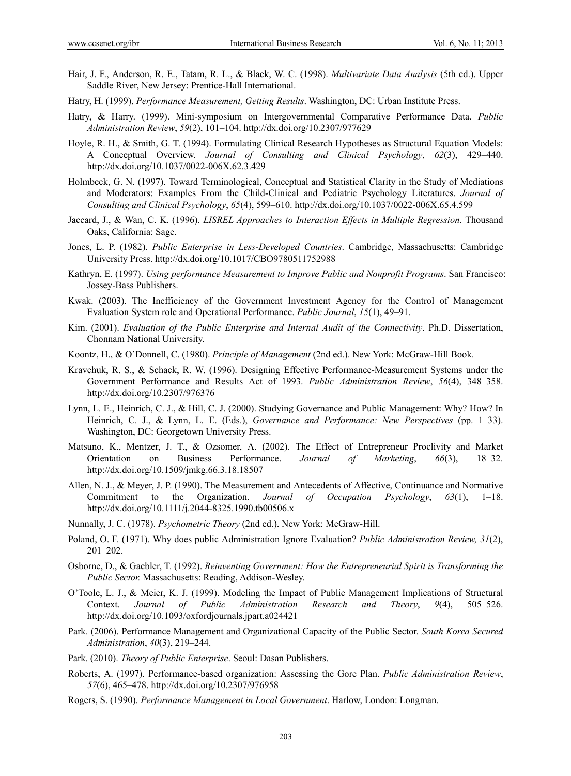- Hair, J. F., Anderson, R. E., Tatam, R. L., & Black, W. C. (1998). *Multivariate Data Analysis* (5th ed.). Upper Saddle River, New Jersey: Prentice-Hall International.
- Hatry, H. (1999). *Performance Measurement, Getting Results*. Washington, DC: Urban Institute Press.
- Hatry, & Harry. (1999). Mini-symposium on Intergovernmental Comparative Performance Data. *Public Administration Review*, *59*(2), 101–104. http://dx.doi.org/10.2307/977629
- Hoyle, R. H., & Smith, G. T. (1994). Formulating Clinical Research Hypotheses as Structural Equation Models: A Conceptual Overview. *Journal of Consulting and Clinical Psychology*, *62*(3), 429–440. http://dx.doi.org/10.1037/0022-006X.62.3.429
- Holmbeck, G. N. (1997). Toward Terminological, Conceptual and Statistical Clarity in the Study of Mediations and Moderators: Examples From the Child-Clinical and Pediatric Psychology Literatures. *Journal of Consulting and Clinical Psychology*, *65*(4), 599–610. http://dx.doi.org/10.1037/0022-006X.65.4.599
- Jaccard, J., & Wan, C. K. (1996). *LISREL Approaches to Interaction Effects in Multiple Regression*. Thousand Oaks, California: Sage.
- Jones, L. P. (1982). *Public Enterprise in Less-Developed Countries*. Cambridge, Massachusetts: Cambridge University Press. http://dx.doi.org/10.1017/CBO9780511752988
- Kathryn, E. (1997). *Using performance Measurement to Improve Public and Nonprofit Programs*. San Francisco: Jossey-Bass Publishers.
- Kwak. (2003). The Inefficiency of the Government Investment Agency for the Control of Management Evaluation System role and Operational Performance. *Public Journal*, *15*(1), 49–91.
- Kim. (2001). *Evaluation of the Public Enterprise and Internal Audit of the Connectivity*. Ph.D. Dissertation, Chonnam National University.
- Koontz, H., & O'Donnell, C. (1980). *Principle of Management* (2nd ed.). New York: McGraw-Hill Book.
- Kravchuk, R. S., & Schack, R. W. (1996). Designing Effective Performance-Measurement Systems under the Government Performance and Results Act of 1993. *Public Administration Review*, *56*(4), 348–358. http://dx.doi.org/10.2307/976376
- Lynn, L. E., Heinrich, C. J., & Hill, C. J. (2000). Studying Governance and Public Management: Why? How? In Heinrich, C. J., & Lynn, L. E. (Eds.), *Governance and Performance: New Perspectives* (pp. 1–33). Washington, DC: Georgetown University Press.
- Matsuno, K., Mentzer, J. T., & Ozsomer, A. (2002). The Effect of Entrepreneur Proclivity and Market Orientation on Business Performance. *Journal of Marketing*, *66*(3), 18–32. http://dx.doi.org/10.1509/jmkg.66.3.18.18507
- Allen, N. J., & Meyer, J. P. (1990). The Measurement and Antecedents of Affective, Continuance and Normative Commitment to the Organization. *Journal of Occupation Psychology*, *63*(1), 1–18. http://dx.doi.org/10.1111/j.2044-8325.1990.tb00506.x
- Nunnally, J. C. (1978). *Psychometric Theory* (2nd ed.). New York: McGraw-Hill.
- Poland, O. F. (1971). Why does public Administration Ignore Evaluation? *Public Administration Review, 31*(2), 201–202.
- Osborne, D., & Gaebler, T. (1992). *Reinventing Government: How the Entrepreneurial Spirit is Transforming the Public Sector.* Massachusetts: Reading, Addison-Wesley.
- O'Toole, L. J., & Meier, K. J. (1999). Modeling the Impact of Public Management Implications of Structural Context. *Journal of Public Administration Research and Theory*, *9*(4), 505–526. http://dx.doi.org/10.1093/oxfordjournals.jpart.a024421
- Park. (2006). Performance Management and Organizational Capacity of the Public Sector. *South Korea Secured Administration*, *40*(3), 219–244.
- Park. (2010). *Theory of Public Enterprise*. Seoul: Dasan Publishers.
- Roberts, A. (1997). Performance-based organization: Assessing the Gore Plan. *Public Administration Review*, *57*(6), 465–478. http://dx.doi.org/10.2307/976958
- Rogers, S. (1990). *Performance Management in Local Government*. Harlow, London: Longman.